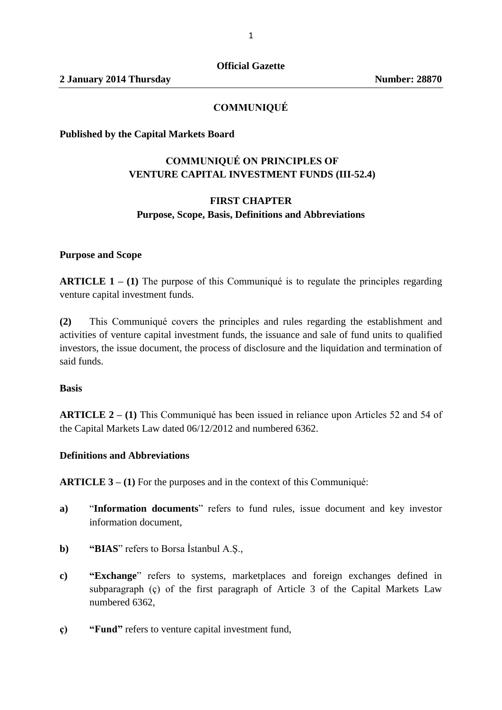**Official Gazette**

### **COMMUNIQUÉ**

**Published by the Capital Markets Board** 

### **COMMUNIQUÉ ON PRINCIPLES OF VENTURE CAPITAL INVESTMENT FUNDS (III-52.4)**

#### **FIRST CHAPTER**

#### **Purpose, Scope, Basis, Definitions and Abbreviations**

#### **Purpose and Scope**

**ARTICLE 1 – (1)** The purpose of this Communiqué is to regulate the principles regarding venture capital investment funds.

**(2)** This Communiqué covers the principles and rules regarding the establishment and activities of venture capital investment funds, the issuance and sale of fund units to qualified investors, the issue document, the process of disclosure and the liquidation and termination of said funds.

#### **Basis**

**ARTICLE 2 – (1)** This Communiqué has been issued in reliance upon Articles 52 and 54 of the Capital Markets Law dated 06/12/2012 and numbered 6362.

#### **Definitions and Abbreviations**

**ARTICLE 3 – (1)** For the purposes and in the context of this Communiqué:

- **a)** "**Information documents**" refers to fund rules, issue document and key investor information document,
- **b) "BIAS**" refers to Borsa İstanbul A.Ş.,
- **c) "Exchange**" refers to systems, marketplaces and foreign exchanges defined in subparagraph (ç) of the first paragraph of Article 3 of the Capital Markets Law numbered 6362,
- **ç) "Fund"** refers to venture capital investment fund,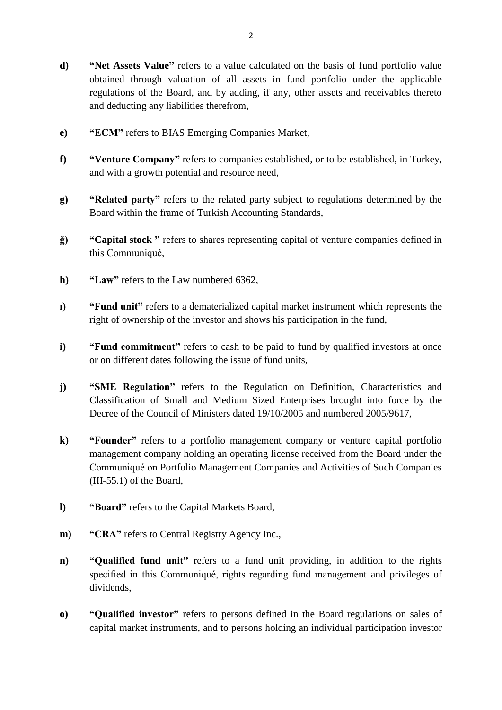- **d) "Net Assets Value"** refers to a value calculated on the basis of fund portfolio value obtained through valuation of all assets in fund portfolio under the applicable regulations of the Board, and by adding, if any, other assets and receivables thereto and deducting any liabilities therefrom,
- **e) "ECM"** refers to BIAS Emerging Companies Market,
- **f) "Venture Company"** refers to companies established, or to be established, in Turkey, and with a growth potential and resource need,
- **g) "Related party"** refers to the related party subject to regulations determined by the Board within the frame of Turkish Accounting Standards,
- **ğ) "Capital stock "** refers to shares representing capital of venture companies defined in this Communiqué,
- **h) "Law"** refers to the Law numbered 6362,
- **ı) "Fund unit"** refers to a dematerialized capital market instrument which represents the right of ownership of the investor and shows his participation in the fund,
- **i) "Fund commitment"** refers to cash to be paid to fund by qualified investors at once or on different dates following the issue of fund units,
- **j) "SME Regulation"** refers to the Regulation on Definition, Characteristics and Classification of Small and Medium Sized Enterprises brought into force by the Decree of the Council of Ministers dated 19/10/2005 and numbered 2005/9617,
- **k) "Founder"** refers to a portfolio management company or venture capital portfolio management company holding an operating license received from the Board under the Communiqué on Portfolio Management Companies and Activities of Such Companies (III-55.1) of the Board,
- **l) "Board"** refers to the Capital Markets Board,
- **m) "CRA"** refers to Central Registry Agency Inc.,
- **n) "Qualified fund unit"** refers to a fund unit providing, in addition to the rights specified in this Communiqué, rights regarding fund management and privileges of dividends,
- **o) "Qualified investor"** refers to persons defined in the Board regulations on sales of capital market instruments, and to persons holding an individual participation investor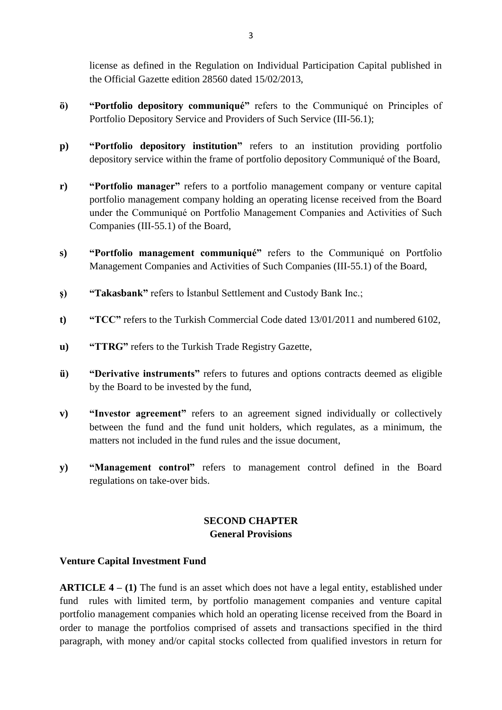license as defined in the Regulation on Individual Participation Capital published in the Official Gazette edition 28560 dated 15/02/2013,

- **ö) "Portfolio depository communiqué"** refers to the Communiqué on Principles of Portfolio Depository Service and Providers of Such Service (III-56.1);
- **p) "Portfolio depository institution"** refers to an institution providing portfolio depository service within the frame of portfolio depository Communiqué of the Board,
- **r) "Portfolio manager"** refers to a portfolio management company or venture capital portfolio management company holding an operating license received from the Board under the Communiqué on Portfolio Management Companies and Activities of Such Companies (III-55.1) of the Board,
- **s) "Portfolio management communiqué"** refers to the Communiqué on Portfolio Management Companies and Activities of Such Companies (III-55.1) of the Board,
- **ş) "Takasbank"** refers to İstanbul Settlement and Custody Bank Inc.;
- **t) "TCC"** refers to the Turkish Commercial Code dated 13/01/2011 and numbered 6102,
- **u) "TTRG"** refers to the Turkish Trade Registry Gazette,
- **ü) "Derivative instruments"** refers to futures and options contracts deemed as eligible by the Board to be invested by the fund,
- **v) "Investor agreement"** refers to an agreement signed individually or collectively between the fund and the fund unit holders, which regulates, as a minimum, the matters not included in the fund rules and the issue document,
- **y) "Management control"** refers to management control defined in the Board regulations on take-over bids.

## **SECOND CHAPTER General Provisions**

### **Venture Capital Investment Fund**

**ARTICLE 4 – (1)** The fund is an asset which does not have a legal entity, established under fund rules with limited term, by portfolio management companies and venture capital portfolio management companies which hold an operating license received from the Board in order to manage the portfolios comprised of assets and transactions specified in the third paragraph, with money and/or capital stocks collected from qualified investors in return for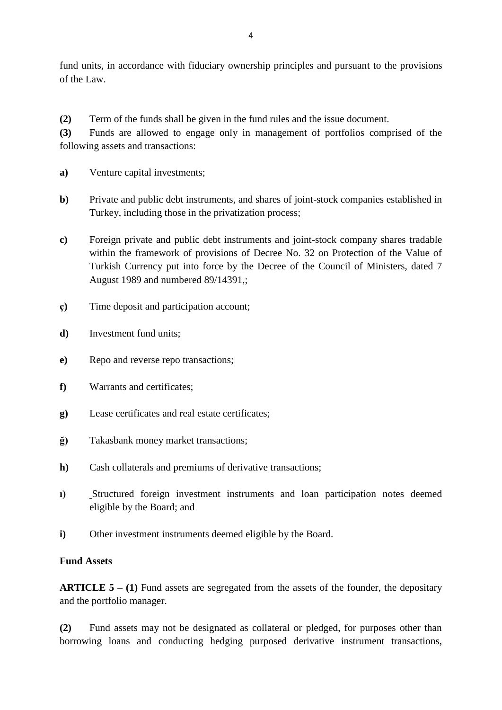fund units, in accordance with fiduciary ownership principles and pursuant to the provisions of the Law.

**(2)** Term of the funds shall be given in the fund rules and the issue document.

**(3)** Funds are allowed to engage only in management of portfolios comprised of the following assets and transactions:

- **a)** Venture capital investments;
- **b**) Private and public debt instruments, and shares of joint-stock companies established in Turkey, including those in the privatization process;
- **c)** Foreign private and public debt instruments and joint-stock company shares tradable within the framework of provisions of Decree No. 32 on Protection of the Value of Turkish Currency put into force by the Decree of the Council of Ministers, dated 7 August 1989 and numbered 89/14391,;
- **ç)** Time deposit and participation account;
- **d)** Investment fund units;
- **e)** Repo and reverse repo transactions;
- **f)** Warrants and certificates;
- **g)** Lease certificates and real estate certificates;
- **ğ)** Takasbank money market transactions;
- **h)** Cash collaterals and premiums of derivative transactions;
- **ı)** Structured foreign investment instruments and loan participation notes deemed eligible by the Board; and
- **i)** Other investment instruments deemed eligible by the Board.

### **Fund Assets**

**ARTICLE 5** – **(1)** Fund assets are segregated from the assets of the founder, the depositary and the portfolio manager.

**(2)** Fund assets may not be designated as collateral or pledged, for purposes other than borrowing loans and conducting hedging purposed derivative instrument transactions,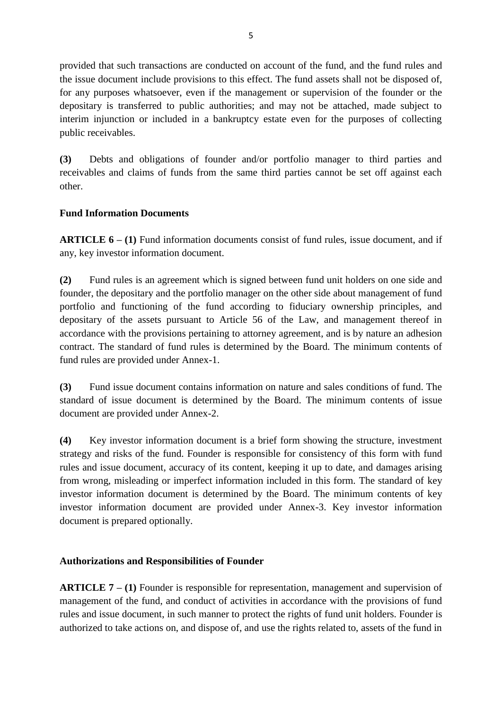provided that such transactions are conducted on account of the fund, and the fund rules and the issue document include provisions to this effect. The fund assets shall not be disposed of, for any purposes whatsoever, even if the management or supervision of the founder or the depositary is transferred to public authorities; and may not be attached, made subject to interim injunction or included in a bankruptcy estate even for the purposes of collecting public receivables.

**(3)** Debts and obligations of founder and/or portfolio manager to third parties and receivables and claims of funds from the same third parties cannot be set off against each other.

## **Fund Information Documents**

**ARTICLE 6 – (1)** Fund information documents consist of fund rules, issue document, and if any, key investor information document.

**(2)** Fund rules is an agreement which is signed between fund unit holders on one side and founder, the depositary and the portfolio manager on the other side about management of fund portfolio and functioning of the fund according to fiduciary ownership principles, and depositary of the assets pursuant to Article 56 of the Law, and management thereof in accordance with the provisions pertaining to attorney agreement, and is by nature an adhesion contract. The standard of fund rules is determined by the Board. The minimum contents of fund rules are provided under Annex-1.

**(3)** Fund issue document contains information on nature and sales conditions of fund. The standard of issue document is determined by the Board. The minimum contents of issue document are provided under Annex-2.

**(4)** Key investor information document is a brief form showing the structure, investment strategy and risks of the fund. Founder is responsible for consistency of this form with fund rules and issue document, accuracy of its content, keeping it up to date, and damages arising from wrong, misleading or imperfect information included in this form. The standard of key investor information document is determined by the Board. The minimum contents of key investor information document are provided under Annex-3. Key investor information document is prepared optionally.

### **Authorizations and Responsibilities of Founder**

**ARTICLE 7 – (1)** Founder is responsible for representation, management and supervision of management of the fund, and conduct of activities in accordance with the provisions of fund rules and issue document, in such manner to protect the rights of fund unit holders. Founder is authorized to take actions on, and dispose of, and use the rights related to, assets of the fund in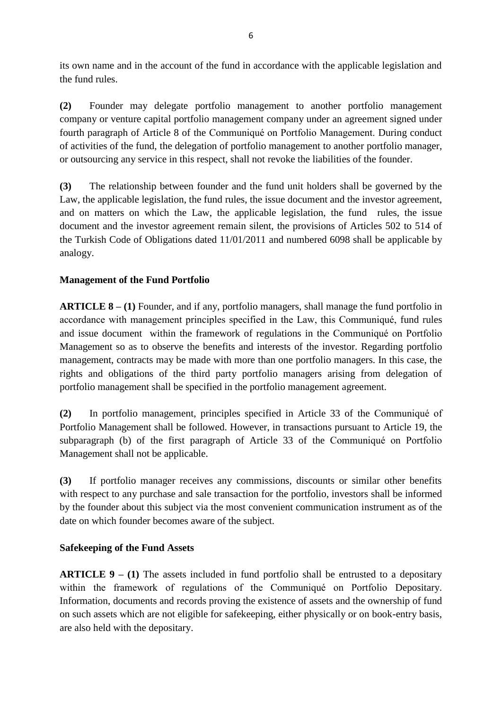its own name and in the account of the fund in accordance with the applicable legislation and the fund rules.

**(2)** Founder may delegate portfolio management to another portfolio management company or venture capital portfolio management company under an agreement signed under fourth paragraph of Article 8 of the Communiqué on Portfolio Management. During conduct of activities of the fund, the delegation of portfolio management to another portfolio manager, or outsourcing any service in this respect, shall not revoke the liabilities of the founder.

**(3)** The relationship between founder and the fund unit holders shall be governed by the Law, the applicable legislation, the fund rules, the issue document and the investor agreement, and on matters on which the Law, the applicable legislation, the fund rules, the issue document and the investor agreement remain silent, the provisions of Articles 502 to 514 of the Turkish Code of Obligations dated 11/01/2011 and numbered 6098 shall be applicable by analogy.

# **Management of the Fund Portfolio**

**ARTICLE 8 – (1)** Founder, and if any, portfolio managers, shall manage the fund portfolio in accordance with management principles specified in the Law, this Communiqué, fund rules and issue document within the framework of regulations in the Communiqué on Portfolio Management so as to observe the benefits and interests of the investor. Regarding portfolio management, contracts may be made with more than one portfolio managers. In this case, the rights and obligations of the third party portfolio managers arising from delegation of portfolio management shall be specified in the portfolio management agreement.

**(2)** In portfolio management, principles specified in Article 33 of the Communiqué of Portfolio Management shall be followed. However, in transactions pursuant to Article 19, the subparagraph (b) of the first paragraph of Article 33 of the Communiqué on Portfolio Management shall not be applicable.

**(3)** If portfolio manager receives any commissions, discounts or similar other benefits with respect to any purchase and sale transaction for the portfolio, investors shall be informed by the founder about this subject via the most convenient communication instrument as of the date on which founder becomes aware of the subject.

### **Safekeeping of the Fund Assets**

**ARTICLE 9 – (1)** The assets included in fund portfolio shall be entrusted to a depositary within the framework of regulations of the Communiqué on Portfolio Depositary. Information, documents and records proving the existence of assets and the ownership of fund on such assets which are not eligible for safekeeping, either physically or on book-entry basis, are also held with the depositary.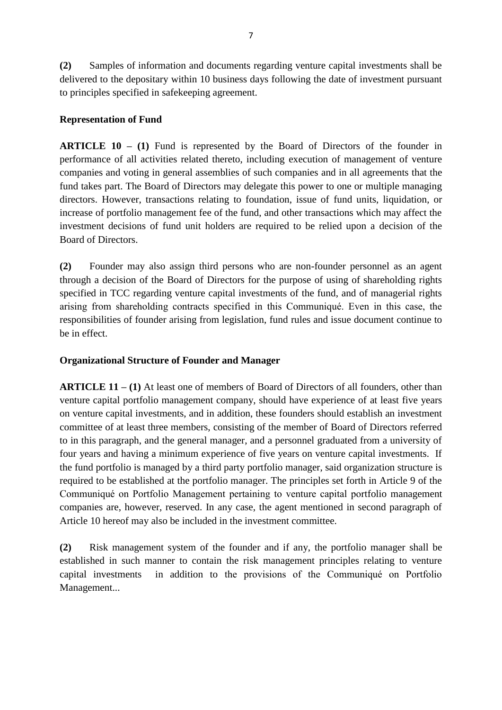**(2)** Samples of information and documents regarding venture capital investments shall be delivered to the depositary within 10 business days following the date of investment pursuant to principles specified in safekeeping agreement.

### **Representation of Fund**

**ARTICLE 10 – (1)** Fund is represented by the Board of Directors of the founder in performance of all activities related thereto, including execution of management of venture companies and voting in general assemblies of such companies and in all agreements that the fund takes part. The Board of Directors may delegate this power to one or multiple managing directors. However, transactions relating to foundation, issue of fund units, liquidation, or increase of portfolio management fee of the fund, and other transactions which may affect the investment decisions of fund unit holders are required to be relied upon a decision of the Board of Directors.

**(2)** Founder may also assign third persons who are non-founder personnel as an agent through a decision of the Board of Directors for the purpose of using of shareholding rights specified in TCC regarding venture capital investments of the fund, and of managerial rights arising from shareholding contracts specified in this Communiqué. Even in this case, the responsibilities of founder arising from legislation, fund rules and issue document continue to be in effect.

### **Organizational Structure of Founder and Manager**

**ARTICLE 11 – (1)** At least one of members of Board of Directors of all founders, other than venture capital portfolio management company, should have experience of at least five years on venture capital investments, and in addition, these founders should establish an investment committee of at least three members, consisting of the member of Board of Directors referred to in this paragraph, and the general manager, and a personnel graduated from a university of four years and having a minimum experience of five years on venture capital investments. If the fund portfolio is managed by a third party portfolio manager, said organization structure is required to be established at the portfolio manager. The principles set forth in Article 9 of the Communiqué on Portfolio Management pertaining to venture capital portfolio management companies are, however, reserved. In any case, the agent mentioned in second paragraph of Article 10 hereof may also be included in the investment committee.

**(2)** Risk management system of the founder and if any, the portfolio manager shall be established in such manner to contain the risk management principles relating to venture capital investments in addition to the provisions of the Communiqué on Portfolio Management...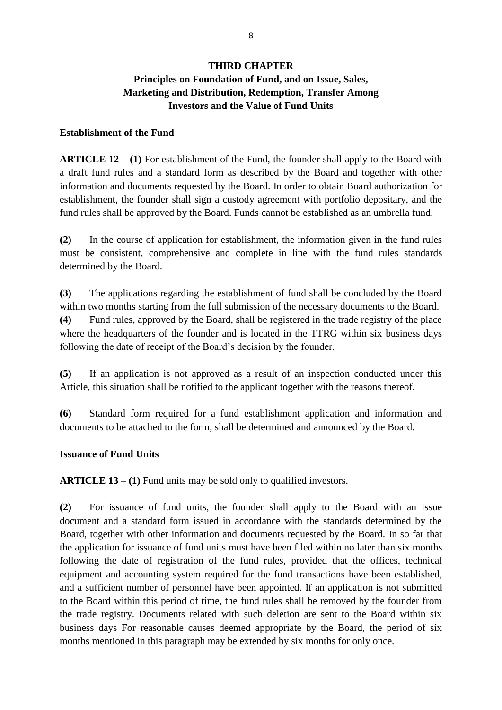### **THIRD CHAPTER**

# **Principles on Foundation of Fund, and on Issue, Sales, Marketing and Distribution, Redemption, Transfer Among Investors and the Value of Fund Units**

#### **Establishment of the Fund**

**ARTICLE 12 – (1)** For establishment of the Fund, the founder shall apply to the Board with a draft fund rules and a standard form as described by the Board and together with other information and documents requested by the Board. In order to obtain Board authorization for establishment, the founder shall sign a custody agreement with portfolio depositary, and the fund rules shall be approved by the Board. Funds cannot be established as an umbrella fund.

**(2)** In the course of application for establishment, the information given in the fund rules must be consistent, comprehensive and complete in line with the fund rules standards determined by the Board.

**(3)** The applications regarding the establishment of fund shall be concluded by the Board within two months starting from the full submission of the necessary documents to the Board. **(4)** Fund rules, approved by the Board, shall be registered in the trade registry of the place where the headquarters of the founder and is located in the TTRG within six business days following the date of receipt of the Board's decision by the founder.

**(5)** If an application is not approved as a result of an inspection conducted under this Article, this situation shall be notified to the applicant together with the reasons thereof.

**(6)** Standard form required for a fund establishment application and information and documents to be attached to the form, shall be determined and announced by the Board.

#### **Issuance of Fund Units**

**ARTICLE 13** – (1) Fund units may be sold only to qualified investors.

**(2)** For issuance of fund units, the founder shall apply to the Board with an issue document and a standard form issued in accordance with the standards determined by the Board, together with other information and documents requested by the Board. In so far that the application for issuance of fund units must have been filed within no later than six months following the date of registration of the fund rules, provided that the offices, technical equipment and accounting system required for the fund transactions have been established, and a sufficient number of personnel have been appointed. If an application is not submitted to the Board within this period of time, the fund rules shall be removed by the founder from the trade registry. Documents related with such deletion are sent to the Board within six business days For reasonable causes deemed appropriate by the Board, the period of six months mentioned in this paragraph may be extended by six months for only once.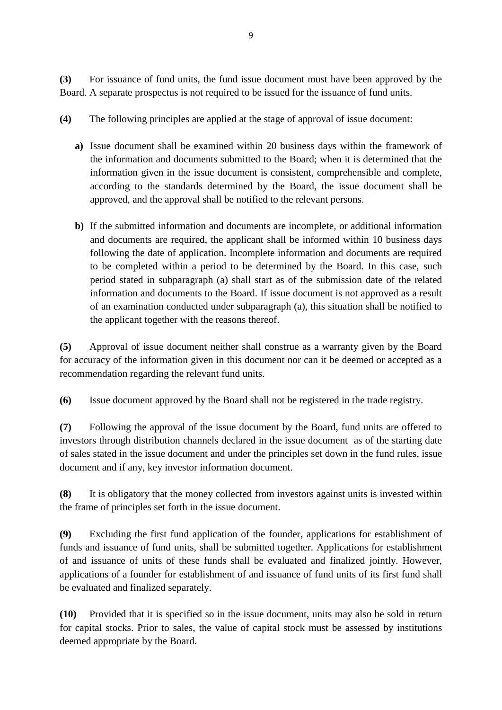**(3)** For issuance of fund units, the fund issue document must have been approved by the Board. A separate prospectus is not required to be issued for the issuance of fund units.

- **(4)** The following principles are applied at the stage of approval of issue document:
	- **a)** Issue document shall be examined within 20 business days within the framework of the information and documents submitted to the Board; when it is determined that the information given in the issue document is consistent, comprehensible and complete, according to the standards determined by the Board, the issue document shall be approved, and the approval shall be notified to the relevant persons.
	- **b)** If the submitted information and documents are incomplete, or additional information and documents are required, the applicant shall be informed within 10 business days following the date of application. Incomplete information and documents are required to be completed within a period to be determined by the Board. In this case, such period stated in subparagraph (a) shall start as of the submission date of the related information and documents to the Board. If issue document is not approved as a result of an examination conducted under subparagraph (a), this situation shall be notified to the applicant together with the reasons thereof.

**(5)** Approval of issue document neither shall construe as a warranty given by the Board for accuracy of the information given in this document nor can it be deemed or accepted as a recommendation regarding the relevant fund units.

**(6)** Issue document approved by the Board shall not be registered in the trade registry.

**(7)** Following the approval of the issue document by the Board, fund units are offered to investors through distribution channels declared in the issue document as of the starting date of sales stated in the issue document and under the principles set down in the fund rules, issue document and if any, key investor information document.

**(8)** It is obligatory that the money collected from investors against units is invested within the frame of principles set forth in the issue document.

**(9)** Excluding the first fund application of the founder, applications for establishment of funds and issuance of fund units, shall be submitted together. Applications for establishment of and issuance of units of these funds shall be evaluated and finalized jointly. However, applications of a founder for establishment of and issuance of fund units of its first fund shall be evaluated and finalized separately.

**(10)** Provided that it is specified so in the issue document, units may also be sold in return for capital stocks. Prior to sales, the value of capital stock must be assessed by institutions deemed appropriate by the Board.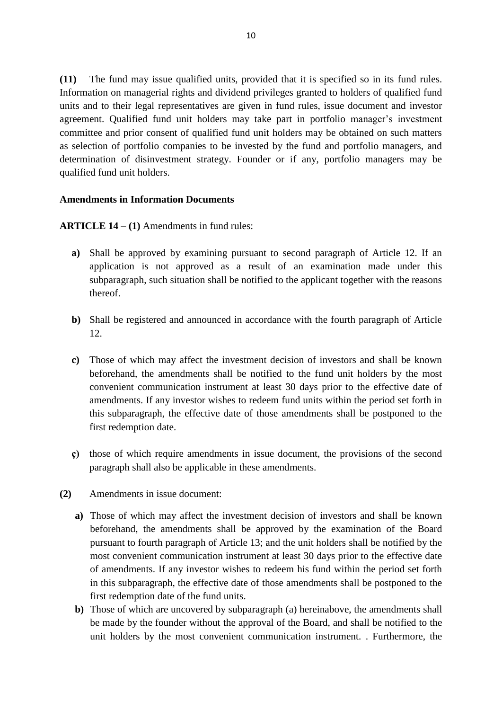**(11)** The fund may issue qualified units, provided that it is specified so in its fund rules. Information on managerial rights and dividend privileges granted to holders of qualified fund units and to their legal representatives are given in fund rules, issue document and investor agreement. Qualified fund unit holders may take part in portfolio manager's investment committee and prior consent of qualified fund unit holders may be obtained on such matters as selection of portfolio companies to be invested by the fund and portfolio managers, and determination of disinvestment strategy. Founder or if any, portfolio managers may be qualified fund unit holders.

#### **Amendments in Information Documents**

**ARTICLE 14 – (1)** Amendments in fund rules:

- **a)** Shall be approved by examining pursuant to second paragraph of Article 12. If an application is not approved as a result of an examination made under this subparagraph, such situation shall be notified to the applicant together with the reasons thereof.
- **b)** Shall be registered and announced in accordance with the fourth paragraph of Article 12.
- **c)** Those of which may affect the investment decision of investors and shall be known beforehand, the amendments shall be notified to the fund unit holders by the most convenient communication instrument at least 30 days prior to the effective date of amendments. If any investor wishes to redeem fund units within the period set forth in this subparagraph, the effective date of those amendments shall be postponed to the first redemption date.
- **ç)** those of which require amendments in issue document, the provisions of the second paragraph shall also be applicable in these amendments.
- **(2)** Amendments in issue document:
	- **a)** Those of which may affect the investment decision of investors and shall be known beforehand, the amendments shall be approved by the examination of the Board pursuant to fourth paragraph of Article 13; and the unit holders shall be notified by the most convenient communication instrument at least 30 days prior to the effective date of amendments. If any investor wishes to redeem his fund within the period set forth in this subparagraph, the effective date of those amendments shall be postponed to the first redemption date of the fund units.
	- **b)** Those of which are uncovered by subparagraph (a) hereinabove, the amendments shall be made by the founder without the approval of the Board, and shall be notified to the unit holders by the most convenient communication instrument. . Furthermore, the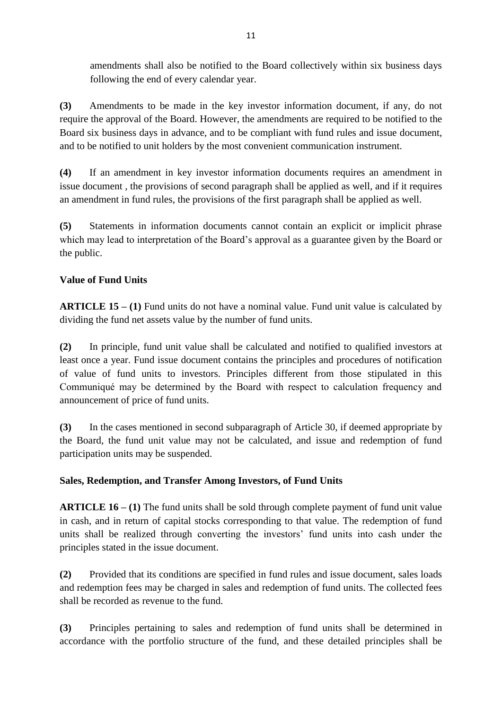amendments shall also be notified to the Board collectively within six business days following the end of every calendar year.

**(3)** Amendments to be made in the key investor information document, if any, do not require the approval of the Board. However, the amendments are required to be notified to the Board six business days in advance, and to be compliant with fund rules and issue document, and to be notified to unit holders by the most convenient communication instrument.

**(4)** If an amendment in key investor information documents requires an amendment in issue document , the provisions of second paragraph shall be applied as well, and if it requires an amendment in fund rules, the provisions of the first paragraph shall be applied as well.

**(5)** Statements in information documents cannot contain an explicit or implicit phrase which may lead to interpretation of the Board's approval as a guarantee given by the Board or the public.

# **Value of Fund Units**

**ARTICLE 15 – (1)** Fund units do not have a nominal value. Fund unit value is calculated by dividing the fund net assets value by the number of fund units.

**(2)** In principle, fund unit value shall be calculated and notified to qualified investors at least once a year. Fund issue document contains the principles and procedures of notification of value of fund units to investors. Principles different from those stipulated in this Communiqué may be determined by the Board with respect to calculation frequency and announcement of price of fund units.

**(3)** In the cases mentioned in second subparagraph of Article 30, if deemed appropriate by the Board, the fund unit value may not be calculated, and issue and redemption of fund participation units may be suspended.

# **Sales, Redemption, and Transfer Among Investors, of Fund Units**

**ARTICLE 16 – (1)** The fund units shall be sold through complete payment of fund unit value in cash, and in return of capital stocks corresponding to that value. The redemption of fund units shall be realized through converting the investors' fund units into cash under the principles stated in the issue document.

**(2)** Provided that its conditions are specified in fund rules and issue document, sales loads and redemption fees may be charged in sales and redemption of fund units. The collected fees shall be recorded as revenue to the fund.

**(3)** Principles pertaining to sales and redemption of fund units shall be determined in accordance with the portfolio structure of the fund, and these detailed principles shall be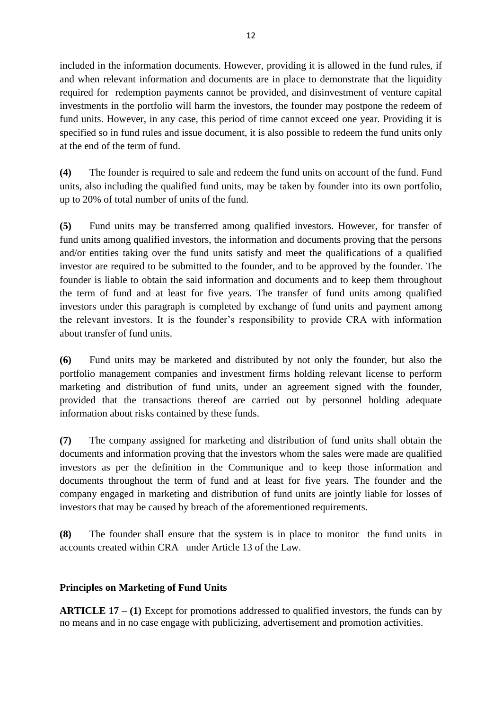included in the information documents. However, providing it is allowed in the fund rules, if and when relevant information and documents are in place to demonstrate that the liquidity required for redemption payments cannot be provided, and disinvestment of venture capital investments in the portfolio will harm the investors, the founder may postpone the redeem of fund units. However, in any case, this period of time cannot exceed one year. Providing it is specified so in fund rules and issue document, it is also possible to redeem the fund units only at the end of the term of fund.

**(4)** The founder is required to sale and redeem the fund units on account of the fund. Fund units, also including the qualified fund units, may be taken by founder into its own portfolio, up to 20% of total number of units of the fund.

**(5)** Fund units may be transferred among qualified investors. However, for transfer of fund units among qualified investors, the information and documents proving that the persons and/or entities taking over the fund units satisfy and meet the qualifications of a qualified investor are required to be submitted to the founder, and to be approved by the founder. The founder is liable to obtain the said information and documents and to keep them throughout the term of fund and at least for five years. The transfer of fund units among qualified investors under this paragraph is completed by exchange of fund units and payment among the relevant investors. It is the founder's responsibility to provide CRA with information about transfer of fund units.

**(6)** Fund units may be marketed and distributed by not only the founder, but also the portfolio management companies and investment firms holding relevant license to perform marketing and distribution of fund units, under an agreement signed with the founder, provided that the transactions thereof are carried out by personnel holding adequate information about risks contained by these funds.

**(7)** The company assigned for marketing and distribution of fund units shall obtain the documents and information proving that the investors whom the sales were made are qualified investors as per the definition in the Communique and to keep those information and documents throughout the term of fund and at least for five years. The founder and the company engaged in marketing and distribution of fund units are jointly liable for losses of investors that may be caused by breach of the aforementioned requirements.

**(8)** The founder shall ensure that the system is in place to monitor the fund units in accounts created within CRA under Article 13 of the Law.

# **Principles on Marketing of Fund Units**

**ARTICLE 17 – (1)** Except for promotions addressed to qualified investors, the funds can by no means and in no case engage with publicizing, advertisement and promotion activities.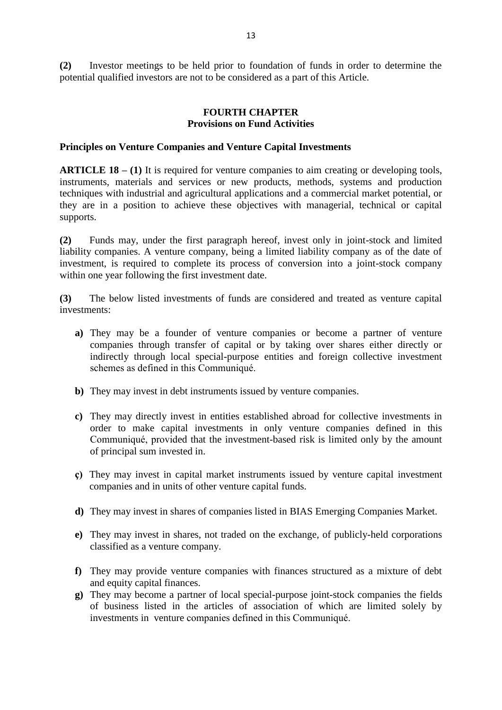**(2)** Investor meetings to be held prior to foundation of funds in order to determine the potential qualified investors are not to be considered as a part of this Article.

#### **FOURTH CHAPTER Provisions on Fund Activities**

#### **Principles on Venture Companies and Venture Capital Investments**

**ARTICLE 18 – (1)** It is required for venture companies to aim creating or developing tools, instruments, materials and services or new products, methods, systems and production techniques with industrial and agricultural applications and a commercial market potential, or they are in a position to achieve these objectives with managerial, technical or capital supports.

**(2)** Funds may, under the first paragraph hereof, invest only in joint-stock and limited liability companies. A venture company, being a limited liability company as of the date of investment, is required to complete its process of conversion into a joint-stock company within one year following the first investment date.

**(3)** The below listed investments of funds are considered and treated as venture capital investments:

- **a)** They may be a founder of venture companies or become a partner of venture companies through transfer of capital or by taking over shares either directly or indirectly through local special-purpose entities and foreign collective investment schemes as defined in this Communiqué.
- **b)** They may invest in debt instruments issued by venture companies.
- **c)** They may directly invest in entities established abroad for collective investments in order to make capital investments in only venture companies defined in this Communiqué, provided that the investment-based risk is limited only by the amount of principal sum invested in.
- **ç)** They may invest in capital market instruments issued by venture capital investment companies and in units of other venture capital funds.
- **d)** They may invest in shares of companies listed in BIAS Emerging Companies Market.
- **e)** They may invest in shares, not traded on the exchange, of publicly-held corporations classified as a venture company.
- **f)** They may provide venture companies with finances structured as a mixture of debt and equity capital finances.
- **g)** They may become a partner of local special-purpose joint-stock companies the fields of business listed in the articles of association of which are limited solely by investments in venture companies defined in this Communiqué.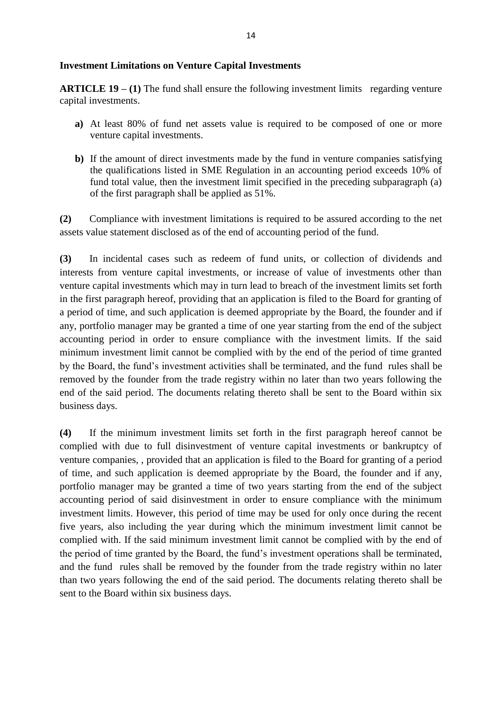#### **Investment Limitations on Venture Capital Investments**

**ARTICLE 19 – (1)** The fund shall ensure the following investment limits regarding venture capital investments.

- **a)** At least 80% of fund net assets value is required to be composed of one or more venture capital investments.
- **b)** If the amount of direct investments made by the fund in venture companies satisfying the qualifications listed in SME Regulation in an accounting period exceeds 10% of fund total value, then the investment limit specified in the preceding subparagraph (a) of the first paragraph shall be applied as 51%.

**(2)** Compliance with investment limitations is required to be assured according to the net assets value statement disclosed as of the end of accounting period of the fund.

**(3)** In incidental cases such as redeem of fund units, or collection of dividends and interests from venture capital investments, or increase of value of investments other than venture capital investments which may in turn lead to breach of the investment limits set forth in the first paragraph hereof, providing that an application is filed to the Board for granting of a period of time, and such application is deemed appropriate by the Board, the founder and if any, portfolio manager may be granted a time of one year starting from the end of the subject accounting period in order to ensure compliance with the investment limits. If the said minimum investment limit cannot be complied with by the end of the period of time granted by the Board, the fund's investment activities shall be terminated, and the fund rules shall be removed by the founder from the trade registry within no later than two years following the end of the said period. The documents relating thereto shall be sent to the Board within six business days.

**(4)** If the minimum investment limits set forth in the first paragraph hereof cannot be complied with due to full disinvestment of venture capital investments or bankruptcy of venture companies, , provided that an application is filed to the Board for granting of a period of time, and such application is deemed appropriate by the Board, the founder and if any, portfolio manager may be granted a time of two years starting from the end of the subject accounting period of said disinvestment in order to ensure compliance with the minimum investment limits. However, this period of time may be used for only once during the recent five years, also including the year during which the minimum investment limit cannot be complied with. If the said minimum investment limit cannot be complied with by the end of the period of time granted by the Board, the fund's investment operations shall be terminated, and the fund rules shall be removed by the founder from the trade registry within no later than two years following the end of the said period. The documents relating thereto shall be sent to the Board within six business days.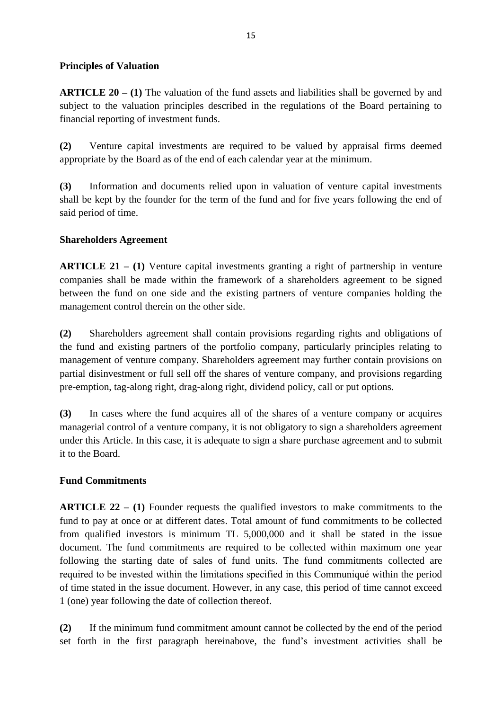### **Principles of Valuation**

**ARTICLE 20 – (1)** The valuation of the fund assets and liabilities shall be governed by and subject to the valuation principles described in the regulations of the Board pertaining to financial reporting of investment funds.

**(2)** Venture capital investments are required to be valued by appraisal firms deemed appropriate by the Board as of the end of each calendar year at the minimum.

**(3)** Information and documents relied upon in valuation of venture capital investments shall be kept by the founder for the term of the fund and for five years following the end of said period of time.

## **Shareholders Agreement**

**ARTICLE 21 – (1)** Venture capital investments granting a right of partnership in venture companies shall be made within the framework of a shareholders agreement to be signed between the fund on one side and the existing partners of venture companies holding the management control therein on the other side.

**(2)** Shareholders agreement shall contain provisions regarding rights and obligations of the fund and existing partners of the portfolio company, particularly principles relating to management of venture company. Shareholders agreement may further contain provisions on partial disinvestment or full sell off the shares of venture company, and provisions regarding pre-emption, tag-along right, drag-along right, dividend policy, call or put options.

**(3)** In cases where the fund acquires all of the shares of a venture company or acquires managerial control of a venture company, it is not obligatory to sign a shareholders agreement under this Article. In this case, it is adequate to sign a share purchase agreement and to submit it to the Board.

# **Fund Commitments**

**ARTICLE 22 – (1)** Founder requests the qualified investors to make commitments to the fund to pay at once or at different dates. Total amount of fund commitments to be collected from qualified investors is minimum TL 5,000,000 and it shall be stated in the issue document. The fund commitments are required to be collected within maximum one year following the starting date of sales of fund units. The fund commitments collected are required to be invested within the limitations specified in this Communiqué within the period of time stated in the issue document. However, in any case, this period of time cannot exceed 1 (one) year following the date of collection thereof.

**(2)** If the minimum fund commitment amount cannot be collected by the end of the period set forth in the first paragraph hereinabove, the fund's investment activities shall be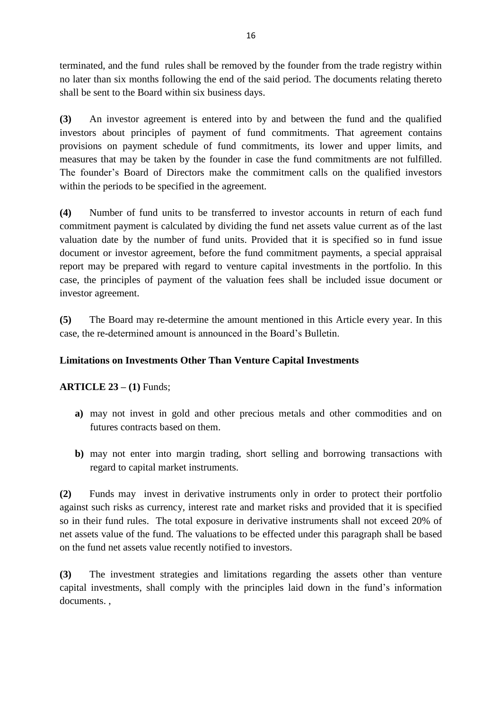terminated, and the fund rules shall be removed by the founder from the trade registry within no later than six months following the end of the said period. The documents relating thereto shall be sent to the Board within six business days.

**(3)** An investor agreement is entered into by and between the fund and the qualified investors about principles of payment of fund commitments. That agreement contains provisions on payment schedule of fund commitments, its lower and upper limits, and measures that may be taken by the founder in case the fund commitments are not fulfilled. The founder's Board of Directors make the commitment calls on the qualified investors within the periods to be specified in the agreement.

**(4)** Number of fund units to be transferred to investor accounts in return of each fund commitment payment is calculated by dividing the fund net assets value current as of the last valuation date by the number of fund units. Provided that it is specified so in fund issue document or investor agreement, before the fund commitment payments, a special appraisal report may be prepared with regard to venture capital investments in the portfolio. In this case, the principles of payment of the valuation fees shall be included issue document or investor agreement.

**(5)** The Board may re-determine the amount mentioned in this Article every year. In this case, the re-determined amount is announced in the Board's Bulletin.

### **Limitations on Investments Other Than Venture Capital Investments**

# **ARTICLE 23 – (1)** Funds;

- **a)** may not invest in gold and other precious metals and other commodities and on futures contracts based on them.
- **b)** may not enter into margin trading, short selling and borrowing transactions with regard to capital market instruments.

**(2)** Funds may invest in derivative instruments only in order to protect their portfolio against such risks as currency, interest rate and market risks and provided that it is specified so in their fund rules. The total exposure in derivative instruments shall not exceed 20% of net assets value of the fund. The valuations to be effected under this paragraph shall be based on the fund net assets value recently notified to investors.

**(3)** The investment strategies and limitations regarding the assets other than venture capital investments, shall comply with the principles laid down in the fund's information documents. ,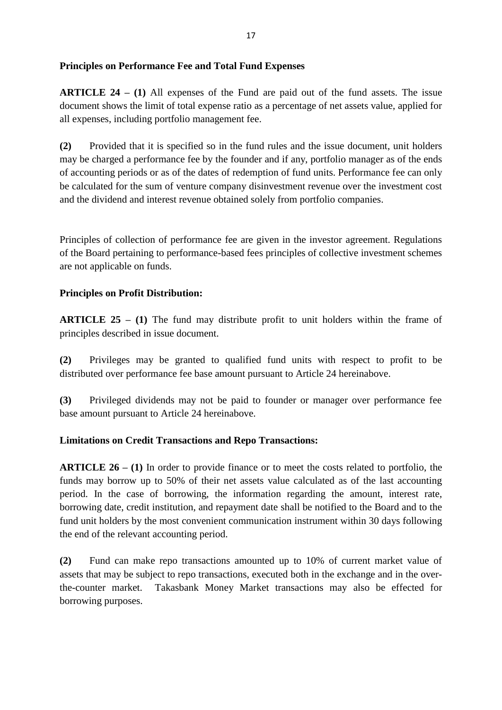### **Principles on Performance Fee and Total Fund Expenses**

**ARTICLE 24 – (1)** All expenses of the Fund are paid out of the fund assets. The issue document shows the limit of total expense ratio as a percentage of net assets value, applied for all expenses, including portfolio management fee.

**(2)** Provided that it is specified so in the fund rules and the issue document, unit holders may be charged a performance fee by the founder and if any, portfolio manager as of the ends of accounting periods or as of the dates of redemption of fund units. Performance fee can only be calculated for the sum of venture company disinvestment revenue over the investment cost and the dividend and interest revenue obtained solely from portfolio companies.

Principles of collection of performance fee are given in the investor agreement. Regulations of the Board pertaining to performance-based fees principles of collective investment schemes are not applicable on funds.

## **Principles on Profit Distribution:**

**ARTICLE 25 – (1)** The fund may distribute profit to unit holders within the frame of principles described in issue document.

**(2)** Privileges may be granted to qualified fund units with respect to profit to be distributed over performance fee base amount pursuant to Article 24 hereinabove.

**(3)** Privileged dividends may not be paid to founder or manager over performance fee base amount pursuant to Article 24 hereinabove.

### **Limitations on Credit Transactions and Repo Transactions:**

**ARTICLE 26 – (1)** In order to provide finance or to meet the costs related to portfolio, the funds may borrow up to 50% of their net assets value calculated as of the last accounting period. In the case of borrowing, the information regarding the amount, interest rate, borrowing date, credit institution, and repayment date shall be notified to the Board and to the fund unit holders by the most convenient communication instrument within 30 days following the end of the relevant accounting period.

**(2)** Fund can make repo transactions amounted up to 10% of current market value of assets that may be subject to repo transactions, executed both in the exchange and in the overthe-counter market. Takasbank Money Market transactions may also be effected for borrowing purposes.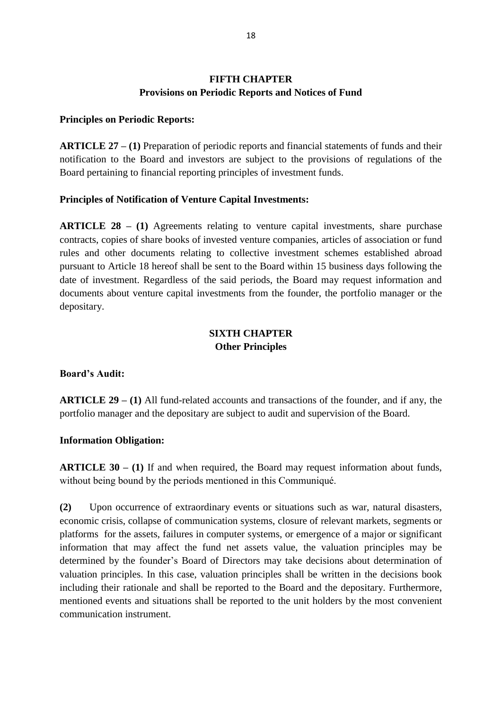### **FIFTH CHAPTER Provisions on Periodic Reports and Notices of Fund**

#### **Principles on Periodic Reports:**

**ARTICLE 27 – (1)** Preparation of periodic reports and financial statements of funds and their notification to the Board and investors are subject to the provisions of regulations of the Board pertaining to financial reporting principles of investment funds.

#### **Principles of Notification of Venture Capital Investments:**

**ARTICLE 28 – (1)** Agreements relating to venture capital investments, share purchase contracts, copies of share books of invested venture companies, articles of association or fund rules and other documents relating to collective investment schemes established abroad pursuant to Article 18 hereof shall be sent to the Board within 15 business days following the date of investment. Regardless of the said periods, the Board may request information and documents about venture capital investments from the founder, the portfolio manager or the depositary.

### **SIXTH CHAPTER Other Principles**

#### **Board's Audit:**

**ARTICLE 29 – (1)** All fund-related accounts and transactions of the founder, and if any, the portfolio manager and the depositary are subject to audit and supervision of the Board.

#### **Information Obligation:**

**ARTICLE 30 – (1)** If and when required, the Board may request information about funds, without being bound by the periods mentioned in this Communiqué.

**(2)** Upon occurrence of extraordinary events or situations such as war, natural disasters, economic crisis, collapse of communication systems, closure of relevant markets, segments or platforms for the assets, failures in computer systems, or emergence of a major or significant information that may affect the fund net assets value, the valuation principles may be determined by the founder's Board of Directors may take decisions about determination of valuation principles. In this case, valuation principles shall be written in the decisions book including their rationale and shall be reported to the Board and the depositary. Furthermore, mentioned events and situations shall be reported to the unit holders by the most convenient communication instrument.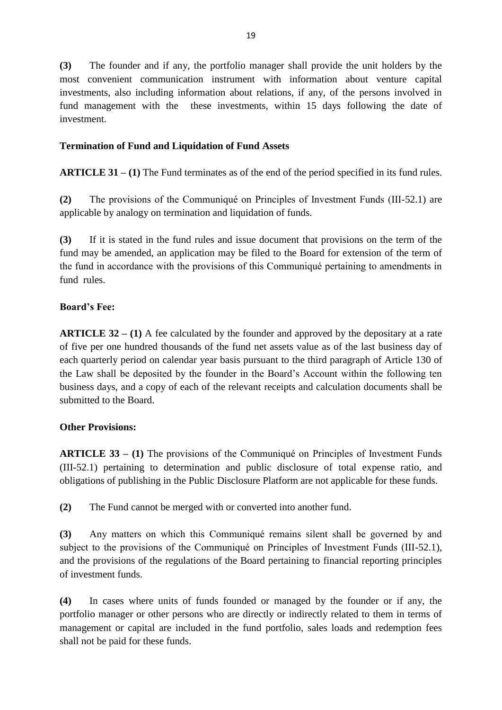**(3)** The founder and if any, the portfolio manager shall provide the unit holders by the most convenient communication instrument with information about venture capital investments, also including information about relations, if any, of the persons involved in fund management with the these investments, within 15 days following the date of investment.

## **Termination of Fund and Liquidation of Fund Assets**

**ARTICLE 31 – (1)** The Fund terminates as of the end of the period specified in its fund rules.

**(2)** The provisions of the Communiqué on Principles of Investment Funds (III-52.1) are applicable by analogy on termination and liquidation of funds.

**(3)** If it is stated in the fund rules and issue document that provisions on the term of the fund may be amended, an application may be filed to the Board for extension of the term of the fund in accordance with the provisions of this Communiqué pertaining to amendments in fund rules.

### **Board's Fee:**

**ARTICLE 32 – (1)** A fee calculated by the founder and approved by the depositary at a rate of five per one hundred thousands of the fund net assets value as of the last business day of each quarterly period on calendar year basis pursuant to the third paragraph of Article 130 of the Law shall be deposited by the founder in the Board's Account within the following ten business days, and a copy of each of the relevant receipts and calculation documents shall be submitted to the Board.

### **Other Provisions:**

**ARTICLE 33 – (1)** The provisions of the Communiqué on Principles of Investment Funds (III-52.1) pertaining to determination and public disclosure of total expense ratio, and obligations of publishing in the Public Disclosure Platform are not applicable for these funds.

**(2)** The Fund cannot be merged with or converted into another fund.

**(3)** Any matters on which this Communiqué remains silent shall be governed by and subject to the provisions of the Communiqué on Principles of Investment Funds (III-52.1), and the provisions of the regulations of the Board pertaining to financial reporting principles of investment funds.

**(4)** In cases where units of funds founded or managed by the founder or if any, the portfolio manager or other persons who are directly or indirectly related to them in terms of management or capital are included in the fund portfolio, sales loads and redemption fees shall not be paid for these funds.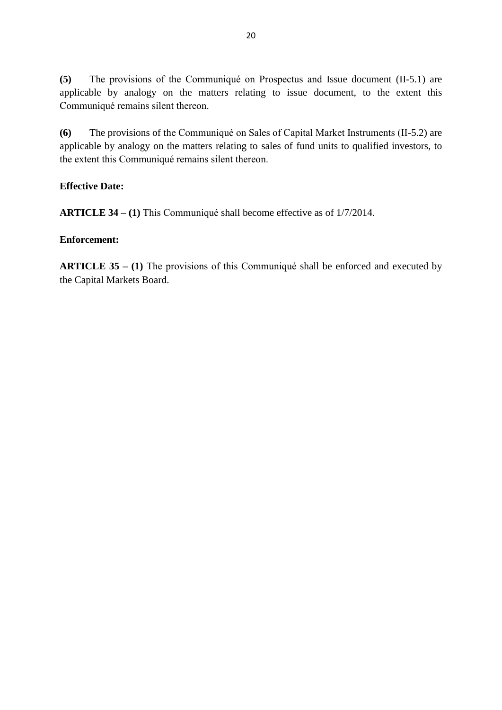**(5)** The provisions of the Communiqué on Prospectus and Issue document (II-5.1) are applicable by analogy on the matters relating to issue document, to the extent this Communiqué remains silent thereon.

**(6)** The provisions of the Communiqué on Sales of Capital Market Instruments (II-5.2) are applicable by analogy on the matters relating to sales of fund units to qualified investors, to the extent this Communiqué remains silent thereon.

### **Effective Date:**

**ARTICLE 34 – (1)** This Communiqué shall become effective as of 1/7/2014.

#### **Enforcement:**

**ARTICLE 35 – (1)** The provisions of this Communiqué shall be enforced and executed by the Capital Markets Board.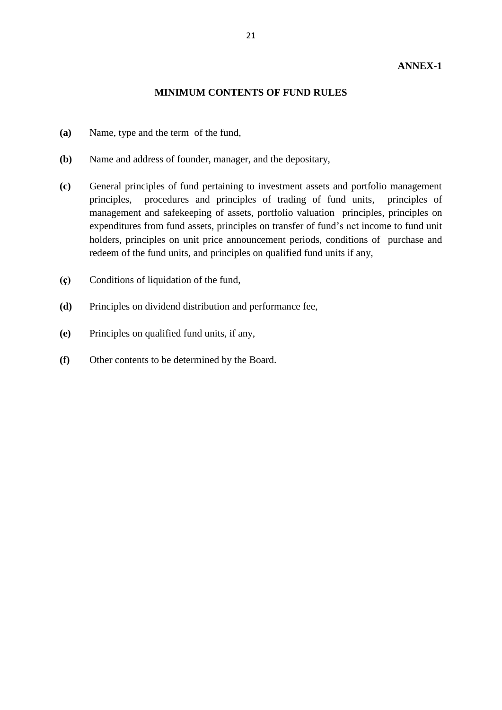#### **ANNEX-1**

#### **MINIMUM CONTENTS OF FUND RULES**

- **(a)** Name, type and the term of the fund,
- **(b)** Name and address of founder, manager, and the depositary,
- **(c)** General principles of fund pertaining to investment assets and portfolio management principles, procedures and principles of trading of fund units, principles of management and safekeeping of assets, portfolio valuation principles, principles on expenditures from fund assets, principles on transfer of fund's net income to fund unit holders, principles on unit price announcement periods, conditions of purchase and redeem of the fund units, and principles on qualified fund units if any,
- **(ç)** Conditions of liquidation of the fund,
- **(d)** Principles on dividend distribution and performance fee,
- **(e)** Principles on qualified fund units, if any,
- **(f)** Other contents to be determined by the Board.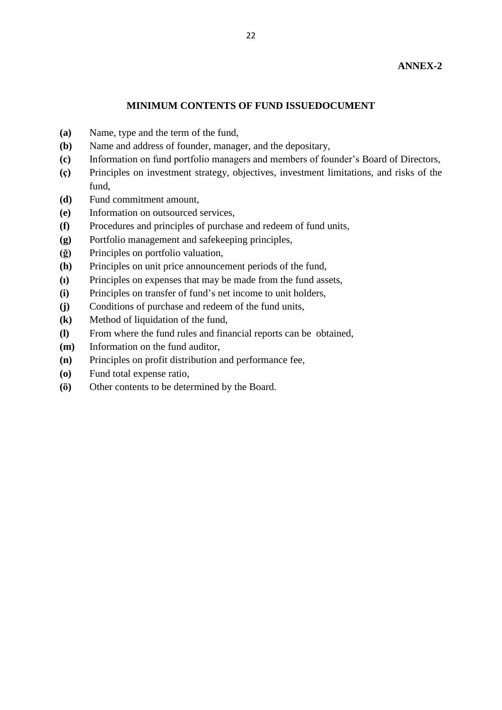#### **MINIMUM CONTENTS OF FUND ISSUEDOCUMENT**

- **(a)** Name, type and the term of the fund,
- **(b)** Name and address of founder, manager, and the depositary,
- **(c)** Information on fund portfolio managers and members of founder's Board of Directors,
- **(ç)** Principles on investment strategy, objectives, investment limitations, and risks of the fund,
- **(d)** Fund commitment amount,
- **(e)** Information on outsourced services,
- **(f)** Procedures and principles of purchase and redeem of fund units,
- **(g)** Portfolio management and safekeeping principles,
- **(ğ)** Principles on portfolio valuation,
- **(h)** Principles on unit price announcement periods of the fund,
- **(ı)** Principles on expenses that may be made from the fund assets,
- **(i)** Principles on transfer of fund's net income to unit holders,
- **(j)** Conditions of purchase and redeem of the fund units,
- **(k)** Method of liquidation of the fund,
- **(l)** From where the fund rules and financial reports can be obtained,
- **(m)** Information on the fund auditor,
- **(n)** Principles on profit distribution and performance fee,
- **(o)** Fund total expense ratio,
- **(ö)** Other contents to be determined by the Board.